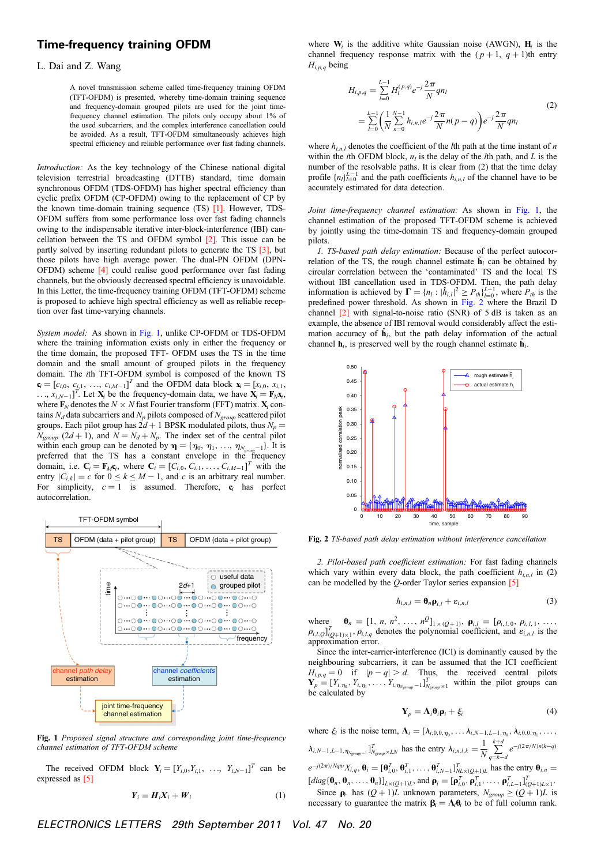## Time-frequency training OFDM

## L. Dai and Z. Wang

A novel transmission scheme called time-frequency training OFDM (TFT-OFDM) is presented, whereby time-domain training sequence and frequency-domain grouped pilots are used for the joint timefrequency channel estimation. The pilots only occupy about 1% of the used subcarriers, and the complex interference cancellation could be avoided. As a result, TFT-OFDM simultaneously achieves high spectral efficiency and reliable performance over fast fading channels.

Introduction: As the key technology of the Chinese national digital television terrestrial broadcasting (DTTB) standard, time domain synchronous OFDM (TDS-OFDM) has higher spectral efficiency than cyclic prefix OFDM (CP-OFDM) owing to the replacement of CP by the known time-domain training sequence (TS) [1]. However, TDS-OFDM suffers from some performance loss over fast fading channels owing to the indispensable iterative inter-block-interference (IBI) cancellation between the TS and OFDM symbol [2]. This issue can be partly solved by inserting redundant pilots to generate the TS [3], but those pilots have high average power. The dual-PN OFDM (DPN-OFDM) scheme [4] could realise good performance over fast fading channels, but the obviously decreased spectral efficiency is unavoidable. In this Letter, the time-frequency training OFDM (TFT-OFDM) scheme is proposed to achieve high spectral efficiency as well as reliable reception over fast time-varying channels.

System model: As shown in Fig. 1, unlike CP-OFDM or TDS-OFDM where the training information exists only in either the frequency or the time domain, the proposed TFT- OFDM uses the TS in the time domain and the small amount of grouped pilots in the frequency domain. The ith TFT-OFDM symbol is composed of the known TS  $\mathbf{c}_i = [c_{i,0}, c_{i,1}, \dots, c_{i,M-1}]^T$  and the OFDM data block  $\mathbf{x}_i = [x_{i,0}, x_{i,1}, \dots, x_{i,M-1}]^T$  $\ldots$ ,  $x_{i,N-1}$ ]<sup>T</sup>. Let  $X_i$  be the frequency-domain data, we have  $X_i = F_N x_i$ , where  $\mathbf{F}_N$  denotes the  $N \times N$  fast Fourier transform (FFT) matrix.  $\mathbf{X}_i$  contains  $N_d$  data subcarriers and  $N_p$  pilots composed of  $N_{group}$  scattered pilot groups. Each pilot group has  $2d + 1$  BPSK modulated pilots, thus  $N_p =$  $N_{\text{group}}$  (2d + 1), and  $N = N_d + N_p$ . The index set of the central pilot within each group can be denoted by  $\mathbf{\eta} = {\eta_0, \eta_1, ..., \eta_{N_{group}-1}}$ . It is preferred that the TS has a constant envelope in the frequency domain, i.e.  $\mathbf{C}_i = \mathbf{F}_M \mathbf{c}_i$ , where  $\mathbf{C}_i = [C_{i,0}, C_{i,1}, \dots, C_{i,M-1}]^T$  with the entry  $|C_{i,k}| = c$  for  $0 \le k \le M - 1$ , and c is an arbitrary real number. For simplicity,  $c = 1$  is assumed. Therefore,  $c_i$  has perfect autocorrelation.



Fig. 1 Proposed signal structure and corresponding joint time-frequency channel estimation of TFT-OFDM scheme

The received OFDM block  $Y_i = [Y_{i,0}, Y_{i,1}, \ldots, Y_{i,N-1}]^T$  can be expressed as [5]

$$
Y_i = H_i X_i + W_i \tag{1}
$$

where  $W_i$  is the additive white Gaussian noise (AWGN),  $H_i$  is the channel frequency response matrix with the  $(p+1, q+1)$ th entry  $H_{i,p,q}$  being

$$
H_{i,p,q} = \sum_{l=0}^{L-1} H_l^{(p,q)} e^{-j} \frac{2\pi}{N} q n_l
$$
  
= 
$$
\sum_{l=0}^{L-1} \left( \frac{1}{N} \sum_{n=0}^{N-1} h_{i,n,l} e^{-j} \frac{2\pi}{N} n(p-q) \right) e^{-j} \frac{2\pi}{N} q n_l
$$
 (2)

where  $h_{i,n,l}$  denotes the coefficient of the *l*th path at the time instant of *n* within the *i*th OFDM block,  $n_l$  is the delay of the *l*th path, and *L* is the number of the resolvable paths. It is clear from (2) that the time delay profile  $\{n_l\}_{l=0}^{L-1}$  and the path coefficients  $h_{i,n,l}$  of the channel have to be accurately estimated for data detection.

Joint time-frequency channel estimation: As shown in Fig. 1, the channel estimation of the proposed TFT-OFDM scheme is achieved by jointly using the time-domain TS and frequency-domain grouped pilots.

1. TS-based path delay estimation: Because of the perfect autocorrelation of the TS, the rough channel estimate  $\hat{\mathbf{h}}_i$  can be obtained by circular correlation between the 'contaminated' TS and the local TS without IBI cancellation used in TDS-OFDM. Then, the path delay information is achieved by  $\Gamma = \{n_l : |\hat{h}_{i,l}|^2 \ge P_{th}\}_{l=0}^{L-1}$ , where  $P_{th}$  is the predefined power threshold. As shown in Fig. 2 where the Brazil D channel [2] with signal-to-noise ratio (SNR) of 5 dB is taken as an example, the absence of IBI removal would considerably affect the estimation accuracy of  $\hat{\mathbf{h}}_i$ , but the path delay information of the actual channel  $\mathbf{h}_i$ , is preserved well by the rough channel estimate  $\hat{\mathbf{h}}_i$ .



Fig. 2 TS-based path delay estimation without interference cancellation

2. Pilot-based path coefficient estimation: For fast fading channels which vary within every data block, the path coefficient  $h_{i,n,l}$  in (2) can be modelled by the  $Q$ -order Taylor series expansion [5]

$$
h_{i,n,l} = \mathbf{\theta}_n \mathbf{\rho}_{i,l} + \varepsilon_{i,n,l} \tag{3}
$$

where  $\theta_n = [1, n, n^2, \ldots, n^Q]_{1 \times (Q+1)}$ ,  $\rho_{i,l} = [\rho_{i,l,0}, \rho_{i,l,1}, \ldots, \rho_{i,q}]$  $\rho_{i,l,Q}$ ] $_{(Q+1)\times 1}^{T}$ ,  $\rho_{i,l,q}$  denotes the polynomial coefficient, and  $\varepsilon_{i,n,l}$  is the approximation error.

Since the inter-carrier-interference (ICI) is dominantly caused by the neighbouring subcarriers, it can be assumed that the ICI coefficient  $H_{i,p,q} = 0$  if  $|p - q| > d$ . Thus, the received central pilots  $\mathbf{Y}_p = [Y_{i,\eta_0}, Y_{i,\eta_1}, \dots, Y_{i,\eta_{N_{group}}-1}]_{N_{group}\times 1}^T$  within the pilot groups can be calculated by

$$
\mathbf{Y}_p = \mathbf{\Lambda}_i \mathbf{\theta}_i \mathbf{\rho}_i + \xi_i \tag{4}
$$

where  $\xi_i$  is the noise term,  $\Lambda_i = [\lambda_{i,0,0,\eta_0}, \ldots \lambda_{i,N-1,L-1,\eta_0}, \lambda_{i,0,0,\eta_1}, \ldots, \lambda_{i,N-1,L-1,\eta_N}]$  $\lambda_{i,N-1,L-1,\eta_{N_{group}-1}}]_{N_{group}\times LN}^{T}$  has the entry  $\lambda_{i,n,l,k} = \frac{1}{N}$  $\sum^{k+a}$  $\sum_{q=k-d}^{\infty} e^{-j(2\pi/N)n(k-q)}$  $e^{-j(2\pi)/Nq n_l}X_{i,q}$ ,  $\mathbf{\theta}_i = [\mathbf{\theta}_{i,0}^T, \mathbf{\theta}_{i,1}^T, \dots, \mathbf{\theta}_{i,N-1}^T]_{N L \times (Q+1)L}^T$  has the entry  $\mathbf{\theta}_{i,n} =$  $\left[\text{diag}\{\boldsymbol{\theta}_n, \boldsymbol{\theta}_n, \ldots, \boldsymbol{\theta}_n\}\right]_{L\times(Q+1)L}$ , and  $\boldsymbol{\rho}_i = [\boldsymbol{\rho}_{i,0}^T, \boldsymbol{\rho}_{i,1}^T, \ldots, \boldsymbol{\rho}_{i,L-1}^T]_{(Q+1)L\times1}^T$ . Since  $\rho_i$ . has  $(Q + 1)\overline{L}$  unknown parameters,  $N_{group} \geq (Q + 1)L$  is necessary to guarantee the matrix  $\beta_i = \Lambda_i \theta_i$  to be of full column rank.

ELECTRONICS LETTERS 29th September 2011 Vol. 47 No. 20